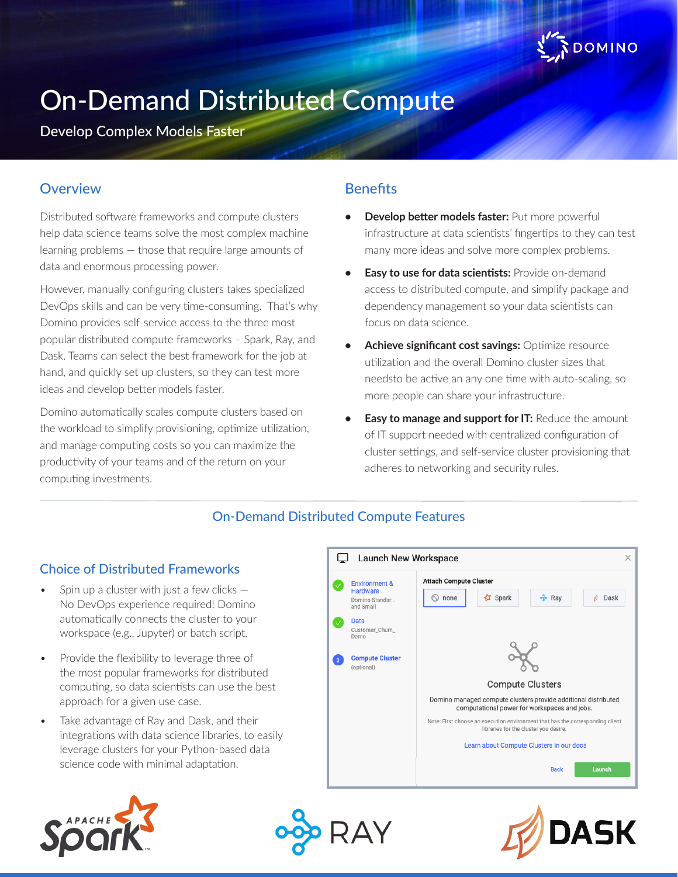

# On-Demand Distributed Compute

Develop Complex Models Faster

## **Overview**

Distributed software frameworks and compute clusters help data science teams solve the most complex machine learning problems — those that require large amounts of data and enormous processing power.

However, manually configuring clusters takes specialized DevOps skills and can be very time-consuming. That's why Domino provides self-service access to the three most popular distributed compute frameworks – Spark, Ray, and Dask. Teams can select the best framework for the job at hand, and quickly set up clusters, so they can test more ideas and develop better models faster.

Domino automatically scales compute clusters based on the workload to simplify provisioning, optimize utilization, and manage computing costs so you can maximize the productivity of your teams and of the return on your computing investments.

## **Benefits**

- **• Develop better models faster:** Put more powerful infrastructure at data scientists' fingertips to they can test many more ideas and solve more complex problems.
- **Easy to use for data scientists: Provide on-demand** access to distributed compute, and simplify package and dependency management so your data scientists can focus on data science.
- **• Achieve significant cost savings:** Optimize resource utilization and the overall Domino cluster sizes that needsto be active an any one time with auto-scaling, so more people can share your infrastructure.
- **• Easy to manage and support for IT:** Reduce the amount of IT support needed with centralized configuration of cluster settings, and self-service cluster provisioning that adheres to networking and security rules.

# On-Demand Distributed Compute Features

#### Choice of Distributed Frameworks

- Spin up a cluster with just a few clicks  $-$ No DevOps experience required! Domino automatically connects the cluster to your workspace (e.g., Jupyter) or batch script.
- Provide the flexibility to leverage three of the most popular frameworks for distributed computing, so data scientists can use the best approach for a given use case.
- Take advantage of Ray and Dask, and their integrations with data science libraries, to easily leverage clusters for your Python-based data science code with minimal adaptation.